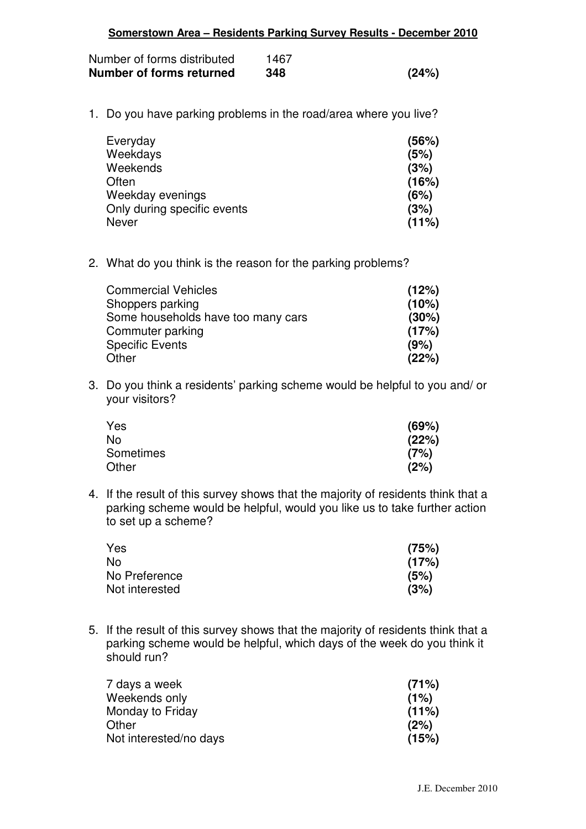| Somerstown Area - Residents Parking Survey Results - December 2010 |      |       |
|--------------------------------------------------------------------|------|-------|
| Number of forms distributed                                        | 1467 |       |
| Number of forms returned                                           | 348  | (24%) |
| 1. Do you have parking problems in the road/area where you live?   |      |       |
| Everyday                                                           |      | (56%) |
| Weekdays                                                           |      | (5%)  |
| Weekends                                                           |      | (3%)  |
| Often                                                              |      | 16%   |

2. What do you think is the reason for the parking problems?

| <b>Commercial Vehicles</b>         | (12%) |
|------------------------------------|-------|
| Shoppers parking                   | (10%) |
| Some households have too many cars | (30%) |
| Commuter parking                   | (17%) |
| <b>Specific Events</b>             | (9%)  |
| Other                              | (22%) |

Weekday evenings **(6%)** Only during specific events **(3%)**<br>Never **(11%)** Never **(11%)**

3. Do you think a residents' parking scheme would be helpful to you and/ or your visitors?

| Yes              | (69%) |
|------------------|-------|
| No               | (22%) |
| <b>Sometimes</b> | (7%)  |
| Other            | (2%)  |

4. If the result of this survey shows that the majority of residents think that a parking scheme would be helpful, would you like us to take further action to set up a scheme?

| Yes            | (75%) |
|----------------|-------|
| No.            | (17%) |
| No Preference  | (5%)  |
| Not interested | (3%)  |

5. If the result of this survey shows that the majority of residents think that a parking scheme would be helpful, which days of the week do you think it should run?

| 7 days a week          | (71%) |
|------------------------|-------|
| Weekends only          | (1%)  |
| Monday to Friday       | (11%) |
| Other                  | (2%)  |
| Not interested/no days | (15%) |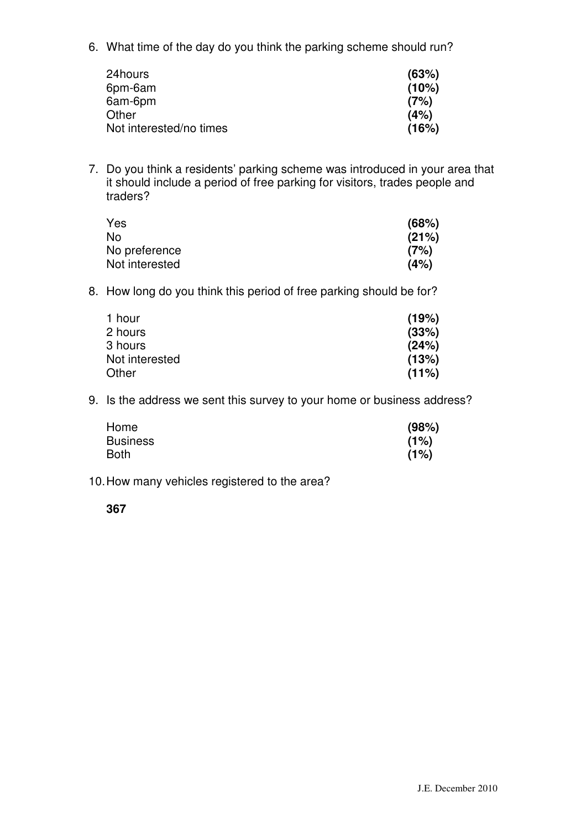6. What time of the day do you think the parking scheme should run?

| 24hours                 | (63%) |
|-------------------------|-------|
| 6pm-6am                 | (10%) |
| 6am-6pm                 | (7%)  |
| Other                   | (4%)  |
| Not interested/no times | (16%) |

7. Do you think a residents' parking scheme was introduced in your area that it should include a period of free parking for visitors, trades people and traders?

| Yes            | (68%) |
|----------------|-------|
| No             | (21%) |
| No preference  | (7%)  |
| Not interested | (4%)  |

8. How long do you think this period of free parking should be for?

| 1 hour         | (19%) |
|----------------|-------|
| 2 hours        | (33%) |
| 3 hours        | (24%) |
| Not interested | (13%) |
| Other          | (11%) |

9. Is the address we sent this survey to your home or business address?

| Home            | (98%) |
|-----------------|-------|
| <b>Business</b> | (1%)  |
| Both            | (1%)  |

10. How many vehicles registered to the area?

## **367**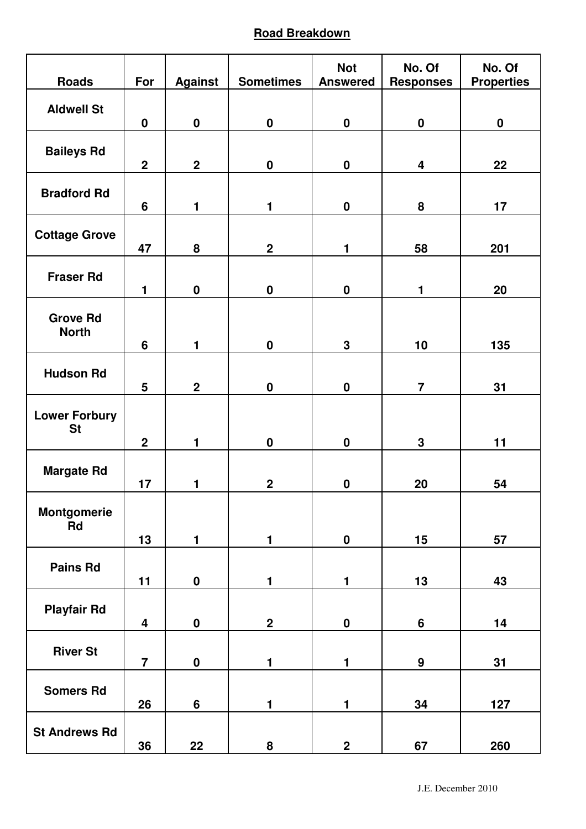## **Road Breakdown**

| <b>Roads</b>                      | For                     | <b>Against</b> | <b>Sometimes</b> | <b>Not</b><br><b>Answered</b> | No. Of<br><b>Responses</b> | No. Of<br><b>Properties</b> |
|-----------------------------------|-------------------------|----------------|------------------|-------------------------------|----------------------------|-----------------------------|
| <b>Aldwell St</b>                 |                         |                |                  |                               |                            |                             |
|                                   | $\pmb{0}$               | $\mathbf 0$    | $\pmb{0}$        | $\pmb{0}$                     | $\mathbf 0$                | $\pmb{0}$                   |
| <b>Baileys Rd</b>                 | $\overline{2}$          | $\overline{2}$ | $\mathbf 0$      | $\pmb{0}$                     | $\overline{\mathbf{4}}$    | 22                          |
| <b>Bradford Rd</b>                | $6\phantom{1}$          | $\blacksquare$ | 1                | $\boldsymbol{0}$              | 8                          | 17                          |
| <b>Cottage Grove</b>              | 47                      | 8              | $\overline{2}$   | $\mathbf{1}$                  | 58                         | 201                         |
| <b>Fraser Rd</b>                  | $\mathbf{1}$            | $\mathbf 0$    | $\boldsymbol{0}$ | $\pmb{0}$                     | 1                          | 20                          |
| <b>Grove Rd</b><br><b>North</b>   | $6\phantom{1}$          | $\blacksquare$ | $\mathbf 0$      | $\mathbf 3$                   | 10                         | 135                         |
| <b>Hudson Rd</b>                  | 5                       | $\overline{2}$ | $\boldsymbol{0}$ | $\boldsymbol{0}$              | $\overline{7}$             | 31                          |
| <b>Lower Forbury</b><br><b>St</b> | $\overline{2}$          | $\blacksquare$ | $\mathbf 0$      | $\pmb{0}$                     | $\mathbf 3$                | 11                          |
| <b>Margate Rd</b>                 | 17                      | 1              | $\overline{2}$   | $\mathbf 0$                   | 20                         | 54                          |
| <b>Montgomerie</b><br>Rd          | 13                      | $\blacksquare$ | 1                | $\boldsymbol{0}$              | 15                         | 57                          |
| <b>Pains Rd</b>                   | 11                      | $\mathbf 0$    | 1                | $\mathbf{1}$                  | 13                         | 43                          |
| <b>Playfair Rd</b>                | $\overline{\mathbf{4}}$ | $\mathbf 0$    | $\overline{2}$   | $\mathbf 0$                   | $6\phantom{a}$             | 14                          |
| <b>River St</b>                   | $\overline{7}$          | $\pmb{0}$      | 1                | $\mathbf{1}$                  | $\boldsymbol{9}$           | 31                          |
| <b>Somers Rd</b>                  | 26                      | $6\phantom{a}$ | 1                | $\mathbf{1}$                  | 34                         | 127                         |
| <b>St Andrews Rd</b>              | 36                      | 22             | $\bf 8$          | $\mathbf 2$                   | 67                         | 260                         |